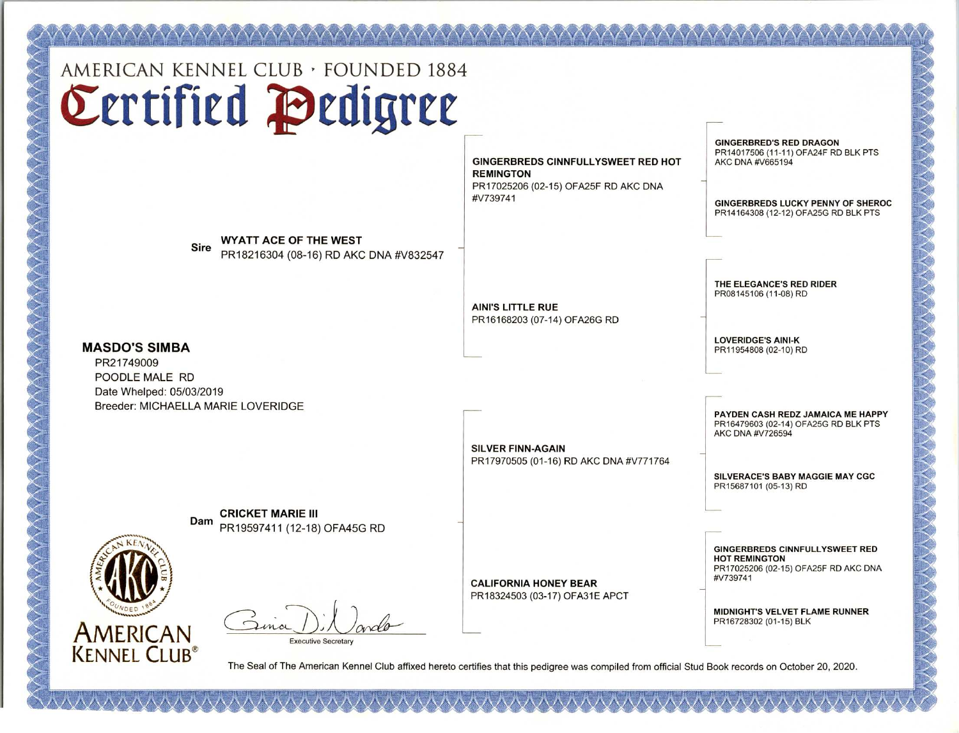AMERICAN KENNEL CLUB · FOUNDED 1884 Certified Pedigree

s \ is r\ i\ /\ /\ i\ i\ is is i'\ .r\-i\ i\ i\ is is r\ . ..

Sire WYATT ACE OF THE WEST<br>PR18216304 (08-16) RD AKC DNA #V832547

GINGERBREDS CINNFULLYSWEET RED HOT REMINGTON PR17025206 (02-15) OFA25F RD AKC DNA #V739741

**GINGERBRED'S RED DRAGON** PR14017506 (11-11) OFA24F RD BLK PTS AKC DNA #V665194

 $\Delta$ 

GINGERBREDS LUCKY PENNY OF SHEROC PR14164308 (12-12) OFA25G RD BLK PTS

THE ELEGANCE'S RED RIDER PR08145106 (11-08) RD

LOVERIDGE'S AINI-K PR11954808 (02-10) RD

PAYDEN CASH REDZ JAMAICA ME HAPPY PR16479603 (02-14) OFA25G RD BLK PTS AKC DNA #V726594

SILVERACE'S BABY MAGGIE MAY CGC PR15687101 (05-13) RD

GINGERBREDS CINNFULLYSWEET RED HOT REMINGTON PR17025206 (02-15) OFA25F RD AKC DNA #V739741

MIDNIGHT'S VELVET FLAME RUNNER PR16728302 (01-15) BLK

, / + \ / t i 1, / 5/ ' / t r 5/ 5/ \ / +, / / Si \/

T

n. 15 7'. /5 n n r.. /5 5 ~: /57' i5 15 i, n 7 . 7 ..n 1 . . /5 7' / X. 7 15 is .X. ./s.

AMERICAN KENNEL CLUB<sup>®</sup>

The Seal of The American Kennel Club affixed hereto certifies that this pedigree was compiled from official Stud Book records on October 20, 2020.

IN A A A A A A A A A A A A A A A

**Dam CRICKET MARIE III**<br>PR19597411 (12-18) OFA45G RD

Executive Secretary

CALIFORNIA HONEY BEAR PR18324503 (03-17) OFA31E APCT



MASDO'S SIMBA PR21749009 POODLE MALE RD Date Whelped: 05/03/2019

Breeder: MICHAELLA MARIE LOVERIDGE

PR16168203 (07-14) OFA26G RD

AINI'S LITTLE RUE

SILVER FINN-AGAIN PR17970505 (01-16) RD AKC DNA #V771764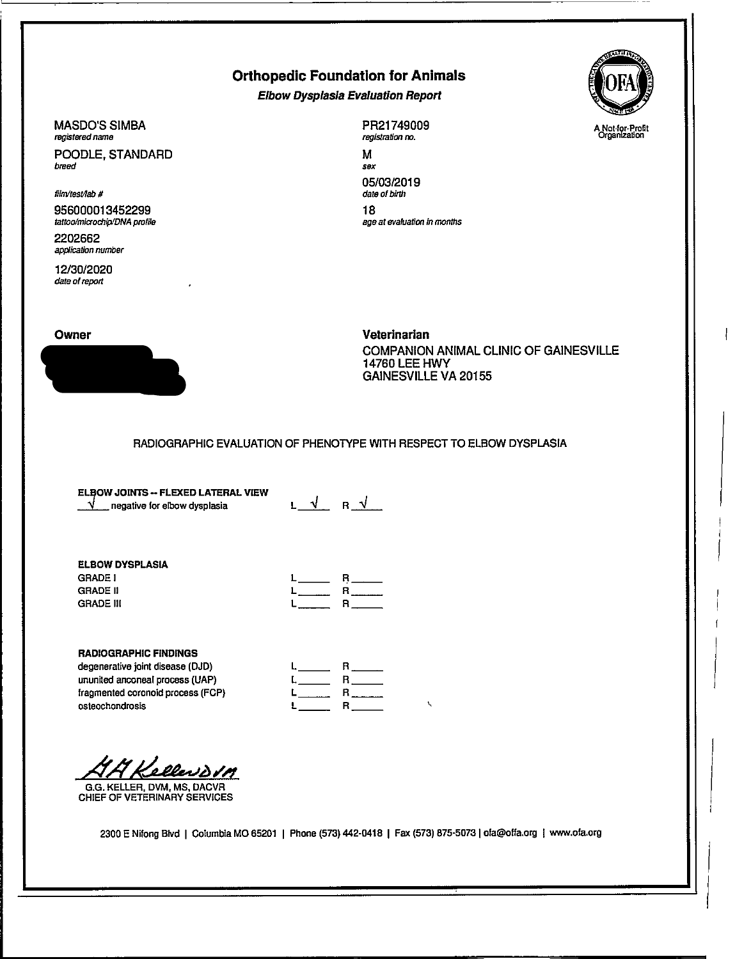## Orthopedic Foundation for Animals

Elbow Dysplasla Evaluation Report



MASDO'S SIMBA registered name

POODLE, STANDARD breed

film/test/lab #

956000013452299 tattoo/microchip/DNA profile

2202662 application number

12/30/2020 date of report

PR21749009 registration no.

M sex 05/03/2019 date of birth 18 age at evaluation in months





Veterinarian COMPANION ANIMAL CLINIC OF GAINESVILLE 14760 LEE HWY GAINESVILLE VA 20155

### RADIOGRAPHIC EVALUATION OF PHENOTYPE WITH RESPECT TO ELBOW DYSPLASIA

ELBOW JOINTS -- FLEXED LATERAL VIEW  $\sqrt{\phantom{a}}$  negative for elbow dysplasia

L\_\_\_ R\_

#### ELBOW DYSPLASIA GRADE GRADE II GRADE III

| $R_{\perp}$ |
|-------------|
|             |
|             |

### RADIOGRAPHIC FINDINGS

degenerative joint disease (DJD) ununited anconeal process (UAP) fragmented coronold process (FOP) osteochondrosis

|                        | R            |
|------------------------|--------------|
| $L$ <sub>_______</sub> | $\mathbf{R}$ |
| L                      | $\mathbf{R}$ |
| L                      | R.           |

Kellendom

G.G. KELLER, DVM, MS, DACVR CHIEF OF VETERINARY SERVICES

2300 E Nifong Blvd I Columbia MO 65201 I Phone (573) 442-0418 I Fax (573) 875-50731 ofa@offa.org I www.ofa.org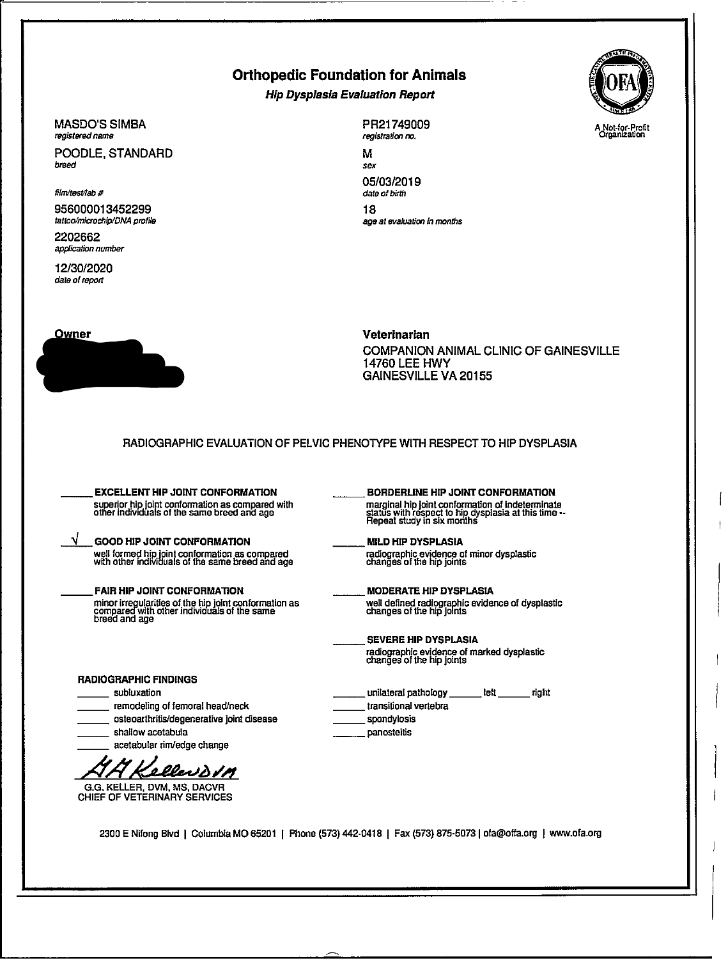## Orthopedic Foundation for Animals

Hip Dysplasia Evaluation Report



#### MASDO'S SIMBA registered name

POODLE, STANDARD breed

filnitesNab #

956000013452299 tattoo/microchip/DNA profile

2202662 application number

12/30/2020 date of report

 $\sqrt$ 



PR21749009 registration no.

M sex 05/03/2019 date of birth 18 age at evaluation In months

Veterinarian COMPANION ANIMAL CLINIC OF GAINESVILLE 14760 LEE HWY GAINESVILLE VA 20155

RADIOGRAPHIC EVALUATION OF PELVIC PHENOTYPE WITH RESPECT TO HIP DYSPLASIA

EXCELLENT HIP JOINT CONFORMATION superior hip joint conformation as compared with other individuals of the same breed and age

GOOD HIP JOINT CONFORMATION well formed hip joint conformation as compared with other individuals of the same breed and age

FAIR HIP JOINT CONFORMATION minor irregularities of the hip joint conformation as<br>compared with other individuals of the same<br>breed and age

- BORDERLINE HIP JOINT CONFORMATION marginal hip joint conformation of indeterminate status with respect to hip dysplasia at this time -- Repeat study in six months
- MILD HIP DYSPLASIA radiographic evidence of minor dysplastic changes of the hip joints

MODERATE HIP DYSPLASIA well defined radiographic evidence of dysplastic changes of the hip joints

SEVERE HIP DYSPLASIA radiographic evidence of marked dysplastic changes of the hip joints

RADIOGRAPHIC FINDINGS

- subluxation
- remodeling of femoral head/neck
- osteoarthritis/degenerative joint disease
- shallow acetabula
- acetabular rim/edge change

Kellevovm

G.G. KELLER, DVM, MS, DACVR CHIEF OF VETERINARY SERVICES

unilateral pathology left right transitional vertebra spondyiosis panosteitis

2300 E Nifong Blvd I Columbia MO 65201 j Phone (573) 442-0418 I Fax (573) 875-5073 I ofa@offa.org j www.ofa.org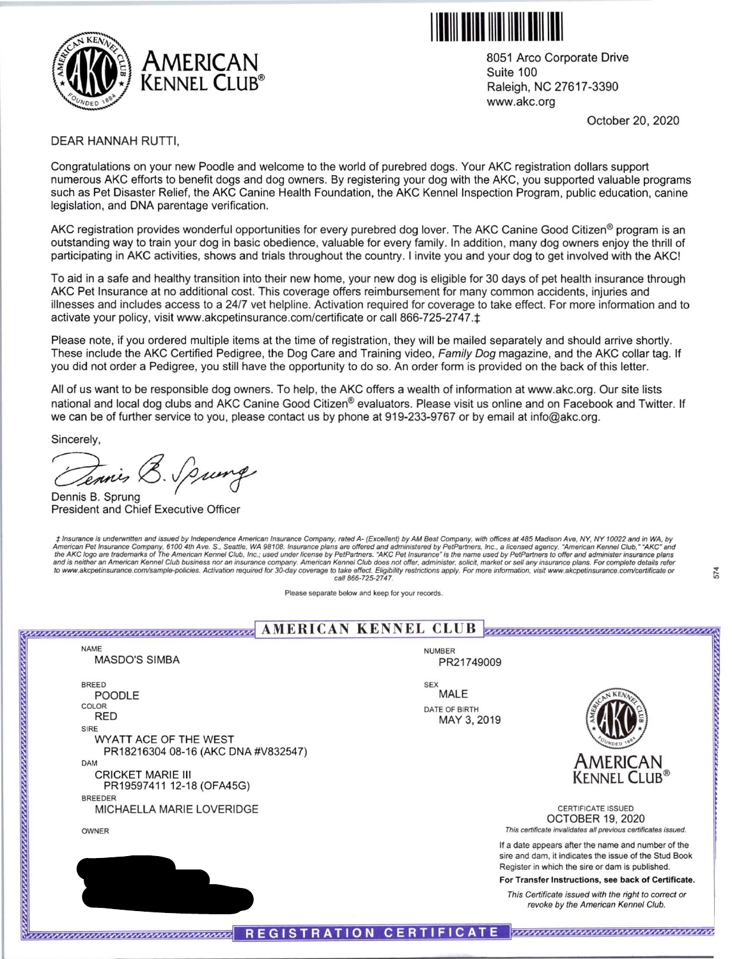



8051 Arco Corporate Drive Suite 100 Raleigh, NC 27617-3390 www.akc.org

October 20, 2020

v a,

### DEAR HANNAH RUTTI,

Congratulations on your new Poodle and welcome to the world of purebred dogs. Your AKC registration dollars support numerous AKC efforts to benefit dogs and dog owners. By registering your dog with the AKC, you supported valuable programs such as Pet Disaster Relief, the AKC Canine Health Foundation, the AKC Kennel Inspection Program, public education, canine legislation, and DNA parentage verification.

AKC registration provides wonderful opportunities for every purebred dog lover. The AKC Canine Good Citizen<sup>®</sup> program is an outstanding way to train your dog in basic obedience, valuable for every family. In addition, many dog owners enjoy the thrill of participating in AKC activities, shows and trials throughout the country. I invite you and your dog to get involved with the AKC!

To aid in a safe and healthy transition into their new home, your new dog is eligible for 30 days of pet health insurance through AKC Pet Insurance at no additional cost. This coverage offers reimbursement for many common accidents, injuries and illnesses and includes access to a 24/7 vet helpline. Activation required for coverage to take effect. For more information and to activate your policy, visit www.akcpetinsurance.com/certificate or call 866-725-2747. $\pm$ 

Please note, if you ordered multiple items at the time of registration, they will be mailed separately and should arrive shortly. These include the AKC Certified Pedigree, the Dog Care and Training video, Family Dog magazine, and the AKC collar tag. If you did not order a Pedigree, you still have the opportunity to do so. An order form is provided on the back of this letter.

All of us want to be responsible dog owners. To help, the AKC offers a wealth of information at www.akc.org. Our site lists national and local dog clubs and AKC Canine Good Citizen® evaluators. Please visit us online and on Facebook and Twitter. If we can be of further service to you, please contact us by phone at 919-233-9767 or by email at info@akc.org.

Sincerely,

Dennis B. Sprung President and Chief Executive Officer

t Insurance is underwritten and issued by Independence American Insurance Company, rated A- (Excellent) by AM Best Company, with offices at 485 Madison Ave, NY, NY 10022 and in WA, by<br>American Pet Insurance Company, 6100 4 and is neither an American Kennel Club business nor an insurance company. American Kennel Club does not offer, administer, solicit, market or sell any insurance plans. For complete details refer<br>to www.akcpetinsurance.com/ call 866-725-2747.

Please separate below and keep for your records.

**AMERICAN KENNEL CLUB** <u> maanaanaanaanaanaanaanaanaanaa</u> NAME NUMBER MASDO'S SIMBA PR21749009 BREED SEX POODLE MALE COLOR DATE OF BIRTH RED MAY 3, 2019 SIRE WYATT ACE OF THE WEST PR18216304 08-16 (AKC DNA #V832547) AMERICAN DAM CRICKET MARIE III KENNEL CLUB® PR19597411 12-18 (OFA45G) BREEDER MICHAELLA MARIE LOVERIDGE CERTIFICATE ISSUED OCTOBER 19, 2020 This certificate invalidates all previous certificates issued. OWNER If a date appears after the name and number of the sire and dam, it indicates the issue of the Stud Book HANNAH RUTTI Register in which the sire or dam is published. For Transfer Instructions, see back of Certificate. UPPERVILLE VA 20184-3033 This Certificate issued with the right to correct or revoke by the American Kennel Club. REGISTRATION CERTIFICATE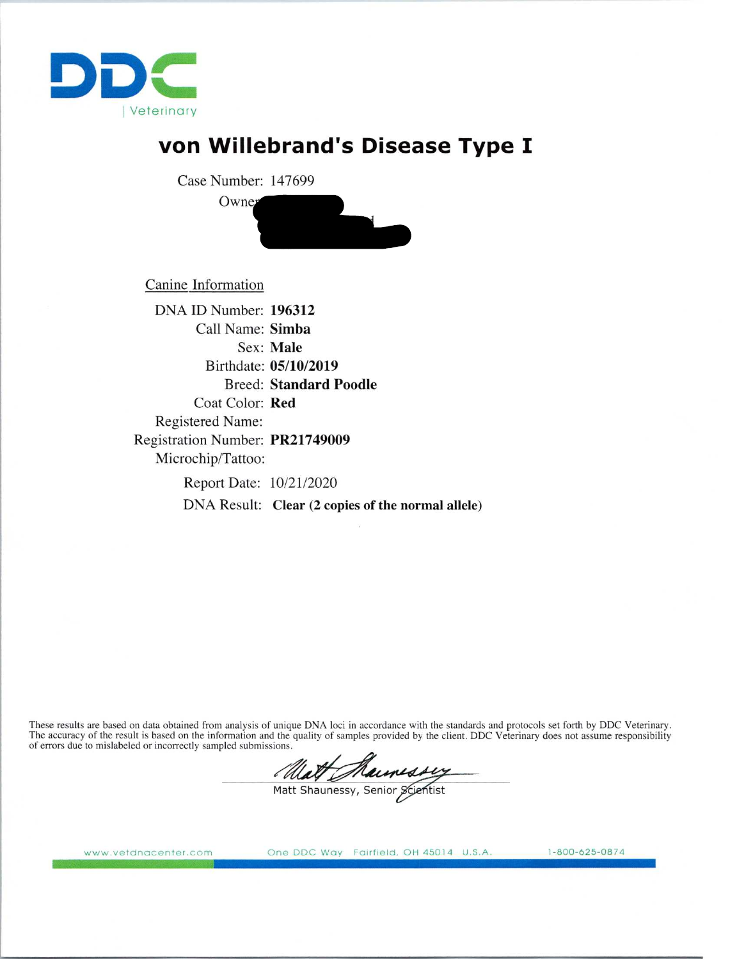

# von Willebrand's Disease Type I

Case Number: 147699



Canine Information

DNA ID Number: 196312 Call Name: Simba Sex: Male B irthdate: 05/10/2019 Breed: Standard Poodle Coat Color: Red Registered Name: Registration Number: PR21749009 Microchip/Tattoo: Report Date: 10/21 /2020

DNA Result: Clear (2 copies of the normal allele)

These results are based on data obtained from analysis of unique DNA loci in accordance with the standards and protocols set forth by DDC Veterinary. The accuracy of the result is based on the information and the quality of samples provided by the client. DDC Veterinary does not assume responsibility of errors due to mislabeled or incorrectly sampled submissions.

Matt Maunessy

www.vetdnacenter.com One DDC Way Fairfield, OH 45014 U.S.A. 1-800-625-0874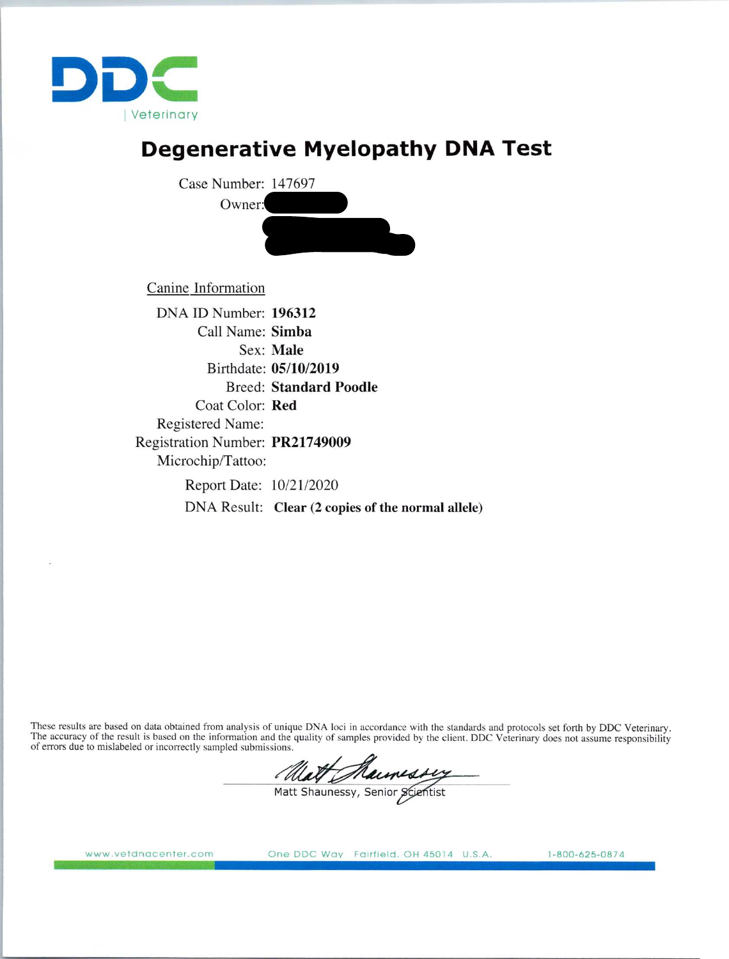

## Degenerative Myelopathy DNA Test



Canine Information

DNA ID Number: 196312 Call Name: Simba Sex: Male B irthdate: 05/10/2019 Breed: Standard Poodle Coat Color: Red Registered Name: Registration Number: PR21749009 Microchip/Tattoo: Report Date: 10/21/2020 DNA Result: Clear (2 copies of the normal allele)

These results are based on data obtained from analysis of unique DNA loci in accordance with the standards and protocols set forth by DDC Veterinary. The accuracy of the result is based on the information and the quality of samples provided by the client. DDC Veterinary does not assume responsibility of errors due to mislabeled or incorrectly sampled submissions.

Matt Maunessy

www.vetdnacenter.com One DDC Way Fairfield, OH 45014 U.S.A. 1-800-625-0874